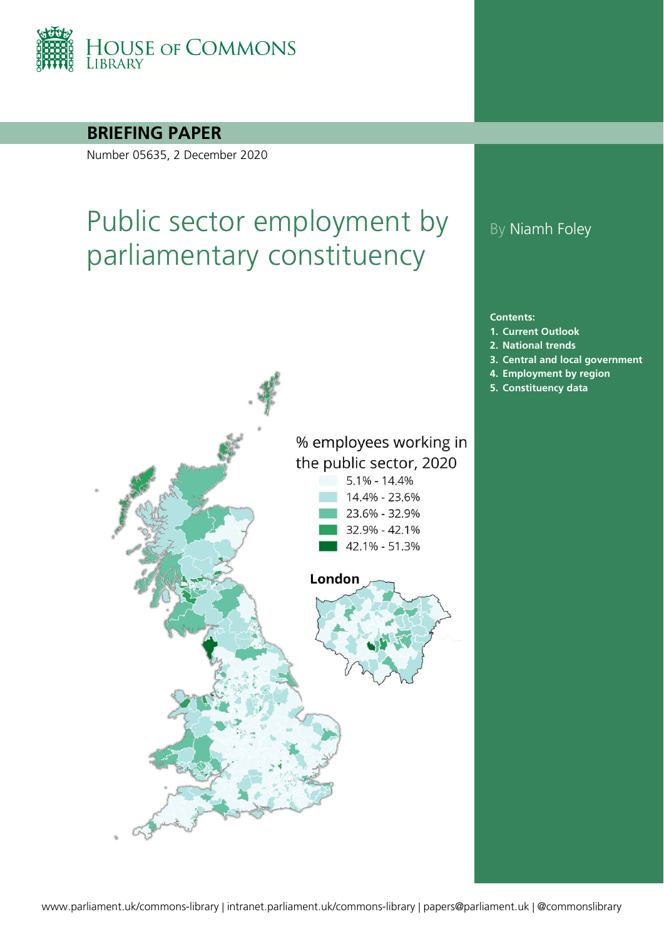

### **BRIEFING PAPER**

Number 05635, 2 December 2020

# Public sector employment by parliamentary constituency



## By Niamh Foley

**Contents:**

- **1. [Current Outlook](#page-2-0)**
- **2. [National trends](#page-3-0)**
- **3. [Central and local government](#page-5-0)**
- **4. [Employment by region](#page-6-0)**
- **5. [Constituency data](#page-8-0)**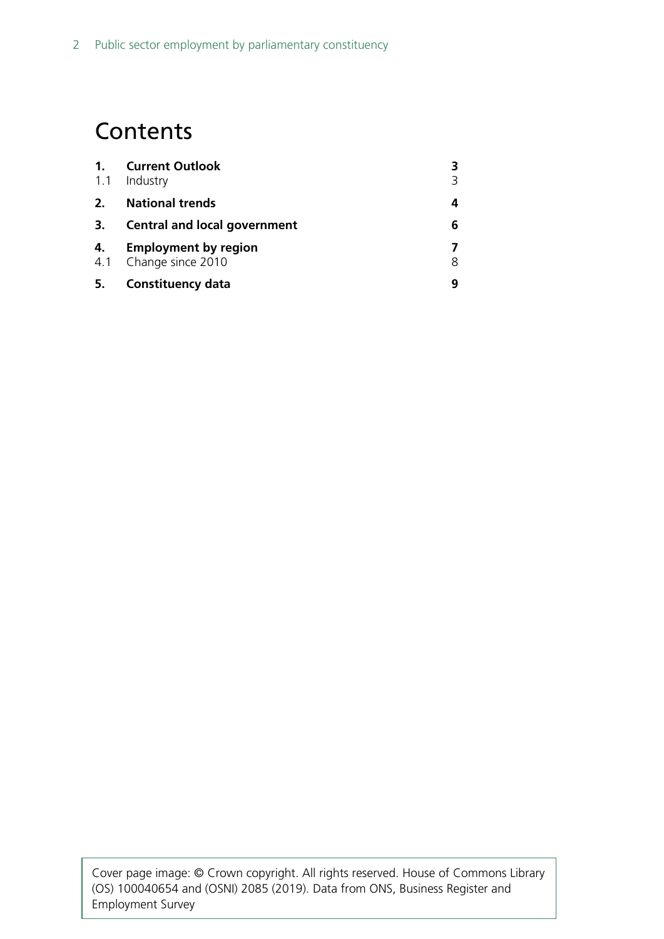## **Contents**

| 1.<br>1.1 | <b>Current Outlook</b><br>Industry                   |   |
|-----------|------------------------------------------------------|---|
| 2.        | <b>National trends</b>                               | 4 |
| 3.        | <b>Central and local government</b>                  | 6 |
| 4.        | <b>Employment by region</b><br>4.1 Change since 2010 | 8 |
| 5.        | <b>Constituency data</b>                             |   |

Cover page image: © Crown copyright. All rights reserved. House of Commons Library (OS) 100040654 and (OSNI) 2085 (2019). Data from ONS, Business Register and Employment Survey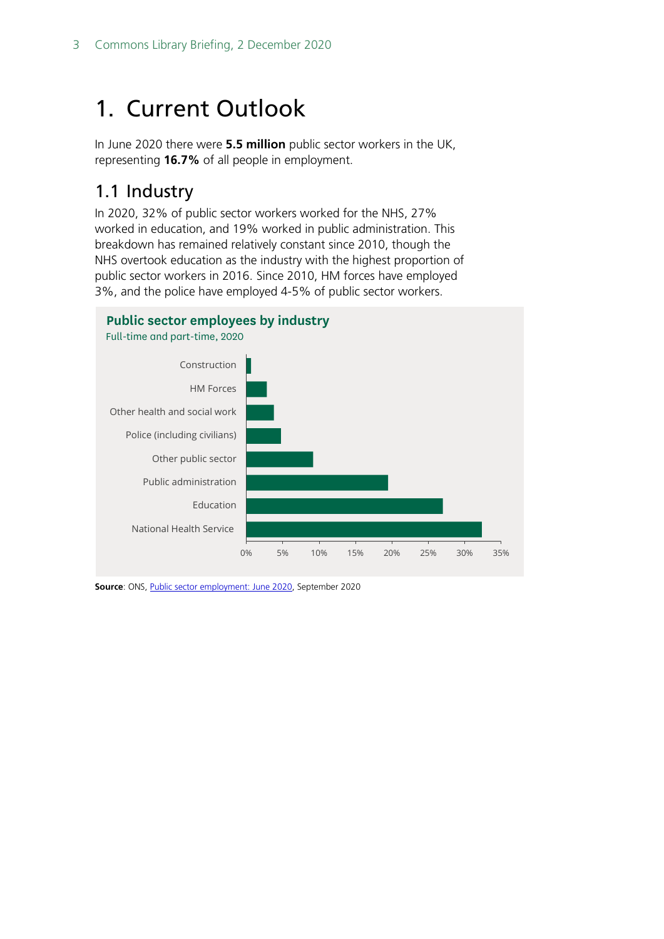# <span id="page-2-0"></span>1. Current Outlook

In June 2020 there were **5.5 million** public sector workers in the UK, representing **16.7%** of all people in employment.

## <span id="page-2-1"></span>1.1 Industry

In 2020, 32% of public sector workers worked for the NHS, 27% worked in education, and 19% worked in public administration. This breakdown has remained relatively constant since 2010, though the NHS overtook education as the industry with the highest proportion of public sector workers in 2016. Since 2010, HM forces have employed 3%, and the police have employed 4-5% of public sector workers.

#### **Public sector employees by industry**



**Source**: ONS, *Public sector employment: June 2020*, September 2020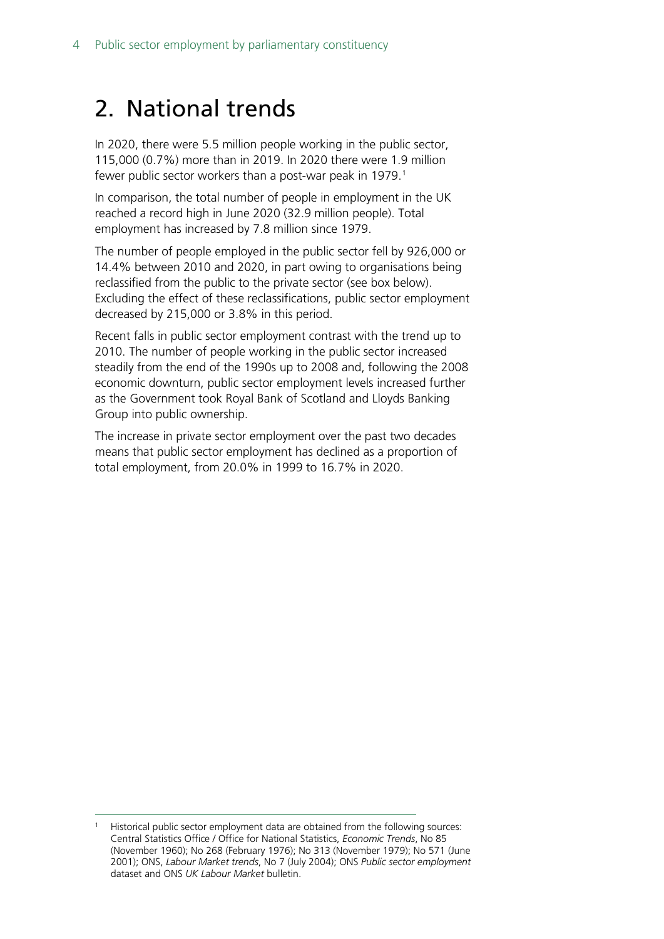# <span id="page-3-0"></span>2. National trends

In 2020, there were 5.5 million people working in the public sector, 115,000 (0.7%) more than in 2019. In 2020 there were 1.9 million fewer public sector workers than a post-war peak in [1](#page-3-1)979.<sup>1</sup>

In comparison, the total number of people in employment in the UK reached a record high in June 2020 (32.9 million people). Total employment has increased by 7.8 million since 1979.

The number of people employed in the public sector fell by 926,000 or 14.4% between 2010 and 2020, in part owing to organisations being reclassified from the public to the private sector (see box below). Excluding the effect of these reclassifications, public sector employment decreased by 215,000 or 3.8% in this period.

Recent falls in public sector employment contrast with the trend up to 2010. The number of people working in the public sector increased steadily from the end of the 1990s up to 2008 and, following the 2008 economic downturn, public sector employment levels increased further as the Government took Royal Bank of Scotland and Lloyds Banking Group into public ownership.

The increase in private sector employment over the past two decades means that public sector employment has declined as a proportion of total employment, from 20.0% in 1999 to 16.7% in 2020.

<span id="page-3-1"></span>Historical public sector employment data are obtained from the following sources: Central Statistics Office / Office for National Statistics, *Economic Trends*, No 85 (November 1960); No 268 (February 1976); No 313 (November 1979); No 571 (June 2001); ONS, *Labour Market trends*, No 7 (July 2004); ONS *Public sector employment*  dataset and ONS *UK Labour Market* bulletin.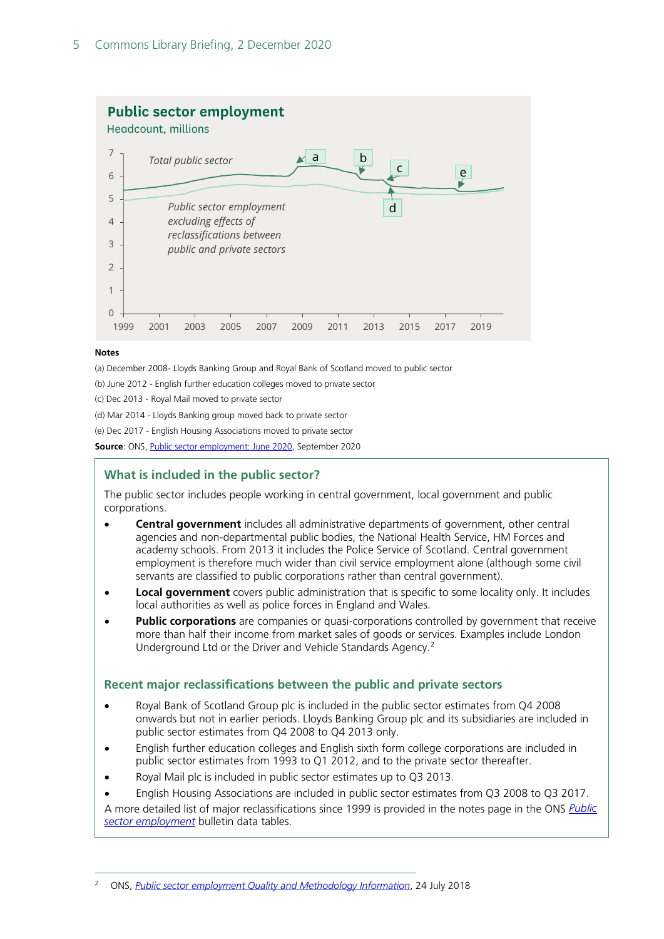

#### **Notes**

(a) December 2008- Lloyds Banking Group and Royal Bank of Scotland moved to public sector

(b) June 2012 - English further education colleges moved to private sector

(c) Dec 2013 - Royal Mail moved to private sector

(d) Mar 2014 - Lloyds Banking group moved back to private sector

(e) Dec 2017 - English Housing Associations moved to private sector

**Source**: ONS[, Public sector employment: June 2020,](https://www.ons.gov.uk/employmentandlabourmarket/peopleinwork/publicsectorpersonnel/bulletins/publicsectoremployment/june2020) September 2020

#### **What is included in the public sector?**

The public sector includes people working in central government, local government and public corporations.

- **Central government** includes all administrative departments of government, other central agencies and non-departmental public bodies, the National Health Service, HM Forces and academy schools. From 2013 it includes the Police Service of Scotland. Central government employment is therefore much wider than civil service employment alone (although some civil servants are classified to public corporations rather than central government).
- **Local government** covers public administration that is specific to some locality only. It includes local authorities as well as police forces in England and Wales.
- **Public corporations** are companies or quasi-corporations controlled by government that receive more than half their income from market sales of goods or services. Examples include London Underground Ltd or the Driver and Vehicle Standards Agency.[2](#page-4-0)

#### **Recent major reclassifications between the public and private sectors**

- Royal Bank of Scotland Group plc is included in the public sector estimates from Q4 2008 onwards but not in earlier periods. Lloyds Banking Group plc and its subsidiaries are included in public sector estimates from Q4 2008 to Q4 2013 only.
- English further education colleges and English sixth form college corporations are included in public sector estimates from 1993 to Q1 2012, and to the private sector thereafter.
- Royal Mail plc is included in public sector estimates up to Q3 2013.
- English Housing Associations are included in public sector estimates from Q3 2008 to Q3 2017.

A more detailed list of major reclassifications since 1999 is provided in the notes page in the ONS *[Public](https://www.ons.gov.uk/employmentandlabourmarket/peopleinwork/publicsectorpersonnel/datasets/publicsectoremploymentreferencetable)  [sector employment](https://www.ons.gov.uk/employmentandlabourmarket/peopleinwork/publicsectorpersonnel/datasets/publicsectoremploymentreferencetable)* bulletin data tables.

<span id="page-4-0"></span><sup>2</sup> ONS, *[Public sector employment Quality and Methodology Information](https://www.ons.gov.uk/employmentandlabourmarket/peopleinwork/publicsectorpersonnel/methodologies/publicsectoremploymentqmi)*, 24 July 2018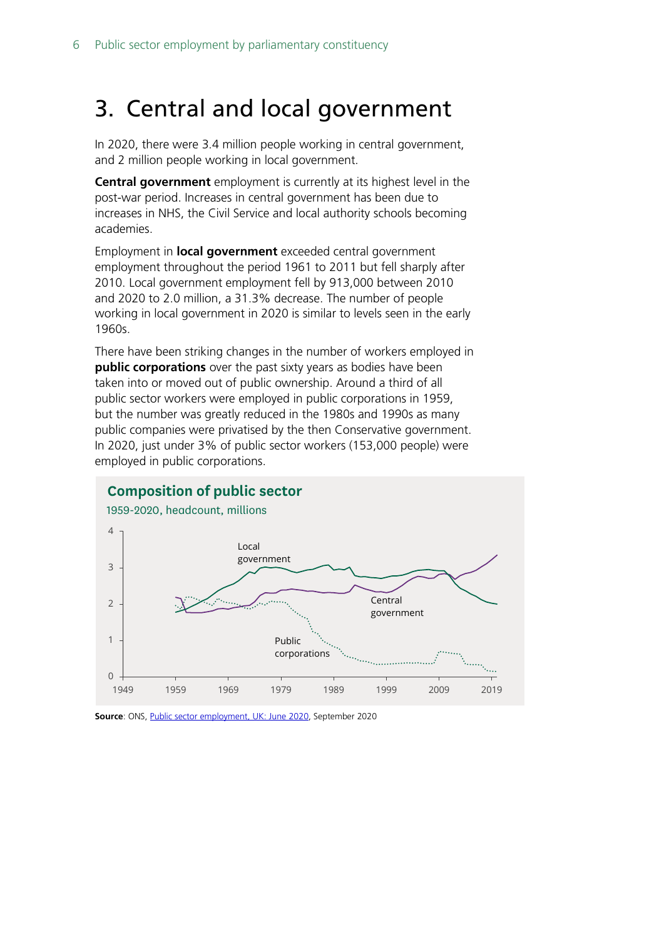# <span id="page-5-0"></span>3. Central and local government

In 2020, there were 3.4 million people working in central government, and 2 million people working in local government.

**Central government** employment is currently at its highest level in the post-war period. Increases in central government has been due to increases in NHS, the Civil Service and local authority schools becoming academies.

Employment in **local government** exceeded central government employment throughout the period 1961 to 2011 but fell sharply after 2010. Local government employment fell by 913,000 between 2010 and 2020 to 2.0 million, a 31.3% decrease. The number of people working in local government in 2020 is similar to levels seen in the early 1960s.

There have been striking changes in the number of workers employed in **public corporations** over the past sixty years as bodies have been taken into or moved out of public ownership. Around a third of all public sector workers were employed in public corporations in 1959, but the number was greatly reduced in the 1980s and 1990s as many public companies were privatised by the then Conservative government. In 2020, just under 3% of public sector workers (153,000 people) were employed in public corporations.



**Source**: ONS[, Public sector employment, UK: June 2020,](https://www.ons.gov.uk/employmentandlabourmarket/peopleinwork/publicsectorpersonnel/bulletins/publicsectoremployment/june2020) September 2020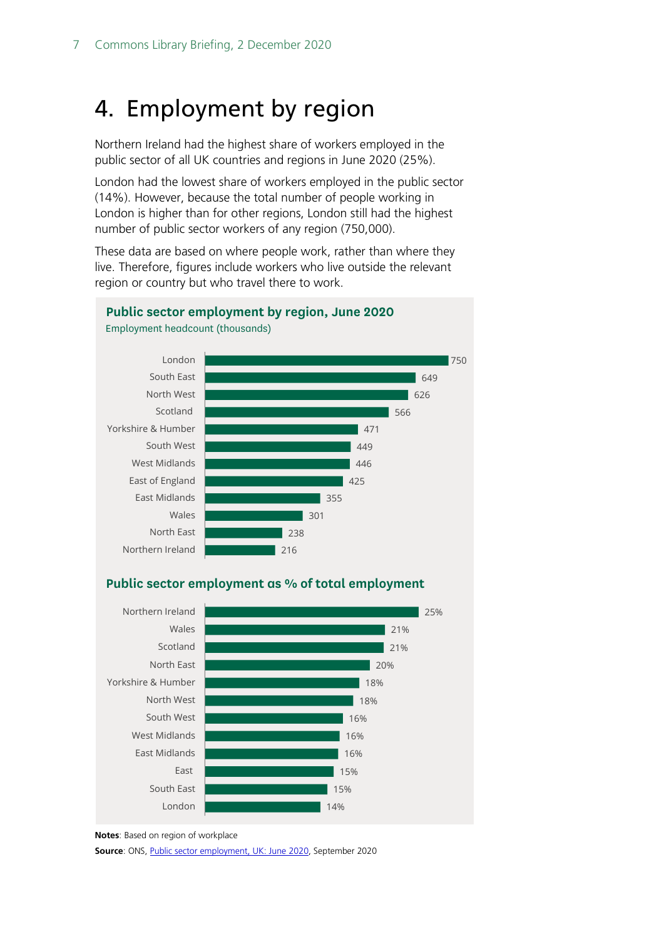# <span id="page-6-0"></span>4. Employment by region

Northern Ireland had the highest share of workers employed in the public sector of all UK countries and regions in June 2020 (25%).

London had the lowest share of workers employed in the public sector (14%). However, because the total number of people working in London is higher than for other regions, London still had the highest number of public sector workers of any region (750,000).

These data are based on where people work, rather than where they live. Therefore, figures include workers who live outside the relevant region or country but who travel there to work.



**Public sector employment by region, June 2020**

#### 14% 15% 15% 16% 16% 16% 18% 18% 20% 21% 21% 25% London South East East East Midlands West Midlands South West North West Yorkshire & Humber North East Scotland Wales Northern Ireland

Employment headcount (thousands)

**Source**: ONS[, Public sector employment, UK: June 2020,](https://www.ons.gov.uk/employmentandlabourmarket/peopleinwork/publicsectorpersonnel/bulletins/publicsectoremployment/june2020) September 2020

**Public sector employment as % of total employment**

**Notes**: Based on region of workplace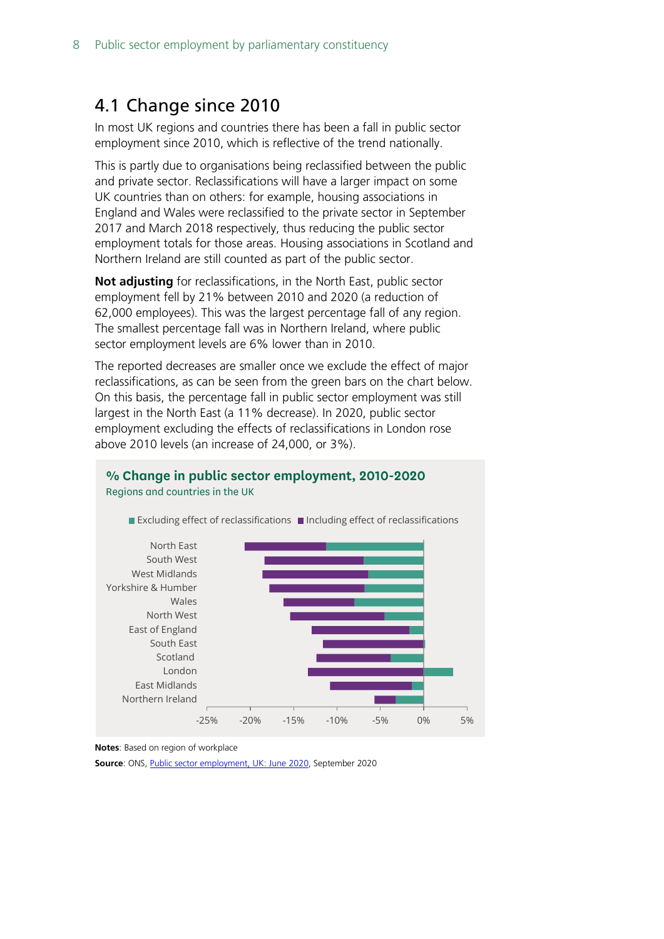## <span id="page-7-0"></span>4.1 Change since 2010

In most UK regions and countries there has been a fall in public sector employment since 2010, which is reflective of the trend nationally.

This is partly due to organisations being reclassified between the public and private sector. Reclassifications will have a larger impact on some UK countries than on others: for example, housing associations in England and Wales were reclassified to the private sector in September 2017 and March 2018 respectively, thus reducing the public sector employment totals for those areas. Housing associations in Scotland and Northern Ireland are still counted as part of the public sector.

**Not adjusting** for reclassifications, in the North East, public sector employment fell by 21% between 2010 and 2020 (a reduction of 62,000 employees). This was the largest percentage fall of any region. The smallest percentage fall was in Northern Ireland, where public sector employment levels are 6% lower than in 2010.

The reported decreases are smaller once we exclude the effect of major reclassifications, as can be seen from the green bars on the chart below. On this basis, the percentage fall in public sector employment was still largest in the North East (a 11% decrease). In 2020, public sector employment excluding the effects of reclassifications in London rose above 2010 levels (an increase of 24,000, or 3%).

**% Change in public sector employment, 2010-2020**



Regions and countries in the UK

Excluding effect of reclassifications  $\blacksquare$  Including effect of reclassifications

**Notes**: Based on region of workplace

**Source**: ONS[, Public sector employment, UK: June 2020,](https://www.ons.gov.uk/employmentandlabourmarket/peopleinwork/publicsectorpersonnel/bulletins/publicsectoremployment/june2020) September 2020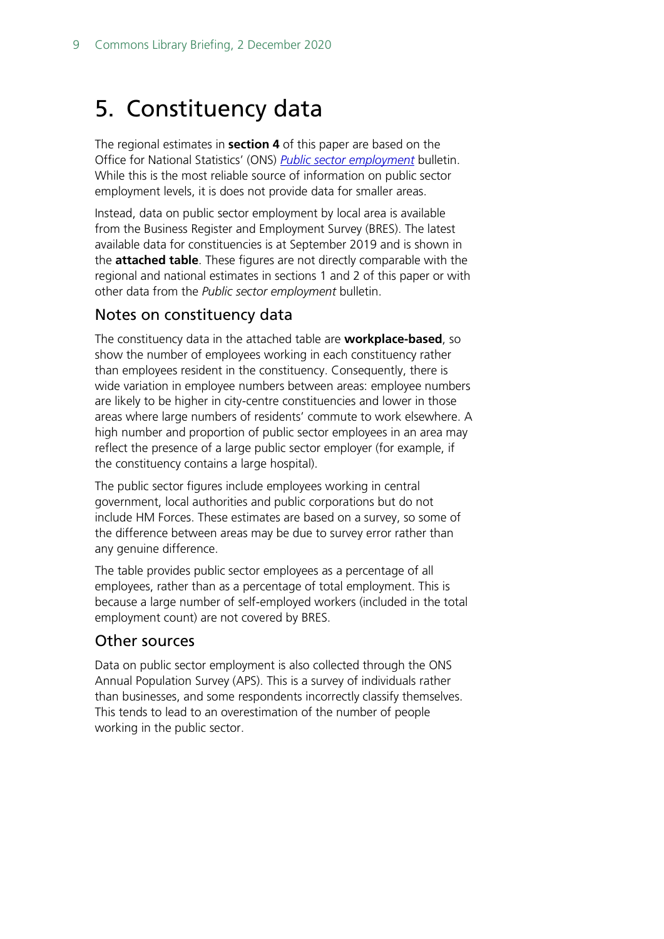# <span id="page-8-0"></span>5. Constituency data

The regional estimates in **section 4** of this paper are based on the Office for National Statistics' (ONS) *[Public sector employment](https://www.ons.gov.uk/employmentandlabourmarket/peopleinwork/publicsectorpersonnel/bulletins/publicsectoremployment/previousReleases)* bulletin. While this is the most reliable source of information on public sector employment levels, it is does not provide data for smaller areas.

Instead, data on public sector employment by local area is available from the Business Register and Employment Survey (BRES). The latest available data for constituencies is at September 2019 and is shown in the **attached table**. These figures are not directly comparable with the regional and national estimates in sections 1 and 2 of this paper or with other data from the *Public sector employment* bulletin.

### Notes on constituency data

The constituency data in the attached table are **workplace-based**, so show the number of employees working in each constituency rather than employees resident in the constituency. Consequently, there is wide variation in employee numbers between areas: employee numbers are likely to be higher in city-centre constituencies and lower in those areas where large numbers of residents' commute to work elsewhere. A high number and proportion of public sector employees in an area may reflect the presence of a large public sector employer (for example, if the constituency contains a large hospital).

The public sector figures include employees working in central government, local authorities and public corporations but do not include HM Forces. These estimates are based on a survey, so some of the difference between areas may be due to survey error rather than any genuine difference.

The table provides public sector employees as a percentage of all employees, rather than as a percentage of total employment. This is because a large number of self-employed workers (included in the total employment count) are not covered by BRES.

### Other sources

Data on public sector employment is also collected through the ONS Annual Population Survey (APS). This is a survey of individuals rather than businesses, and some respondents incorrectly classify themselves. This tends to lead to an overestimation of the number of people working in the public sector.